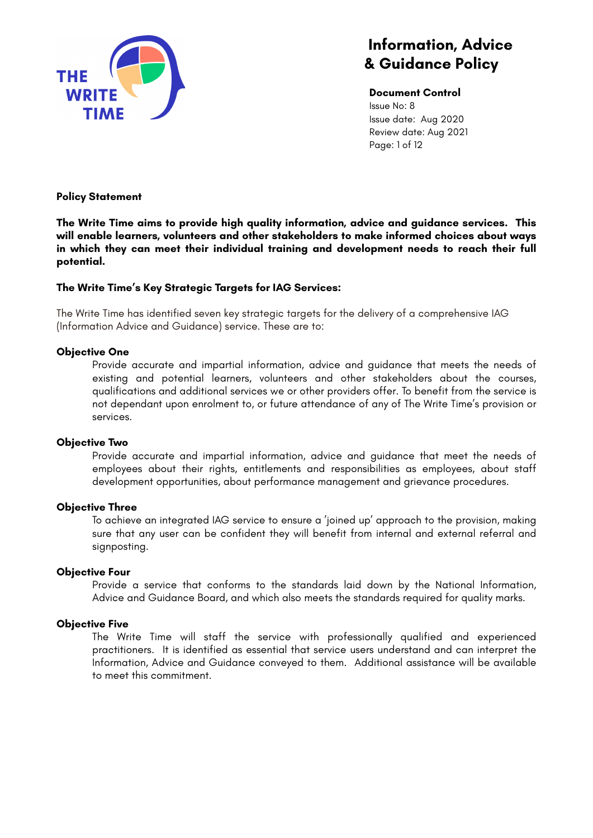

**Document Control** Issue No: 8 Issue date: Aug 2020 Review date: Aug 2021 Page: 1 of 12

### **Policy Statement**

**The Write Time aims to provide high quality information, advice and guidance services. This will enable learners, volunteers and other stakeholders to make informed choices about ways in which they can meet their individual training and development needs to reach their full potential.**

### **The Write Time's Key Strategic Targets for IAG Services:**

The Write Time has identified seven key strategic targets for the delivery of a comprehensive IAG (Information Advice and Guidance) service. These are to:

### **Objective One**

Provide accurate and impartial information, advice and guidance that meets the needs of existing and potential learners, volunteers and other stakeholders about the courses, qualifications and additional services we or other providers offer. To benefit from the service is not dependant upon enrolment to, or future attendance of any of The Write Time's provision or services.

#### **Objective Two**

Provide accurate and impartial information, advice and guidance that meet the needs of employees about their rights, entitlements and responsibilities as employees, about staff development opportunities, about performance management and grievance procedures.

#### **Objective Three**

To achieve an integrated IAG service to ensure a 'joined up' approach to the provision, making sure that any user can be confident they will benefit from internal and external referral and signposting.

#### **Objective Four**

Provide a service that conforms to the standards laid down by the National Information, Advice and Guidance Board, and which also meets the standards required for quality marks.

#### **Objective Five**

The Write Time will staff the service with professionally qualified and experienced practitioners. It is identified as essential that service users understand and can interpret the Information, Advice and Guidance conveyed to them. Additional assistance will be available to meet this commitment.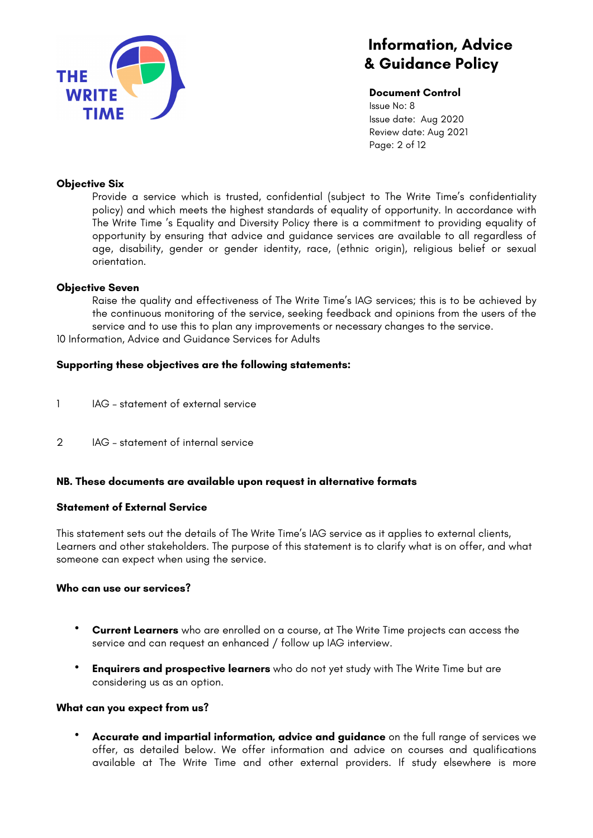

**Document Control** Issue No: 8 Issue date: Aug 2020 Review date: Aug 2021 Page: 2 of 12

### **Objective Six**

Provide a service which is trusted, confidential (subject to The Write Time's confidentiality policy) and which meets the highest standards of equality of opportunity. In accordance with The Write Time 's Equality and Diversity Policy there is a commitment to providing equality of opportunity by ensuring that advice and guidance services are available to all regardless of age, disability, gender or gender identity, race, (ethnic origin), religious belief or sexual orientation.

#### **Objective Seven**

Raise the quality and effectiveness of The Write Time's IAG services; this is to be achieved by the continuous monitoring of the service, seeking feedback and opinions from the users of the service and to use this to plan any improvements or necessary changes to the service. 10 Information, Advice and Guidance Services for Adults

### **Supporting these objectives are the following statements:**

- 1 IAG statement of external service
- 2 IAG statement of internal service

#### **NB. These documents are available upon request in alternative formats**

#### **Statement of External Service**

This statement sets out the details of The Write Time's IAG service as it applies to external clients, Learners and other stakeholders. The purpose of this statement is to clarify what is on offer, and what someone can expect when using the service.

#### **Who can use our services?**

- **Current Learners** who are enrolled on a course, at The Write Time projects can access the service and can request an enhanced / follow up IAG interview.
- **Enquirers and prospective learners** who do not yet study with The Write Time but are considering us as an option.

#### **What can you expect from us?**

• **Accurate and impartial information, advice and guidance** on the full range of services we offer, as detailed below. We offer information and advice on courses and qualifications available at The Write Time and other external providers. If study elsewhere is more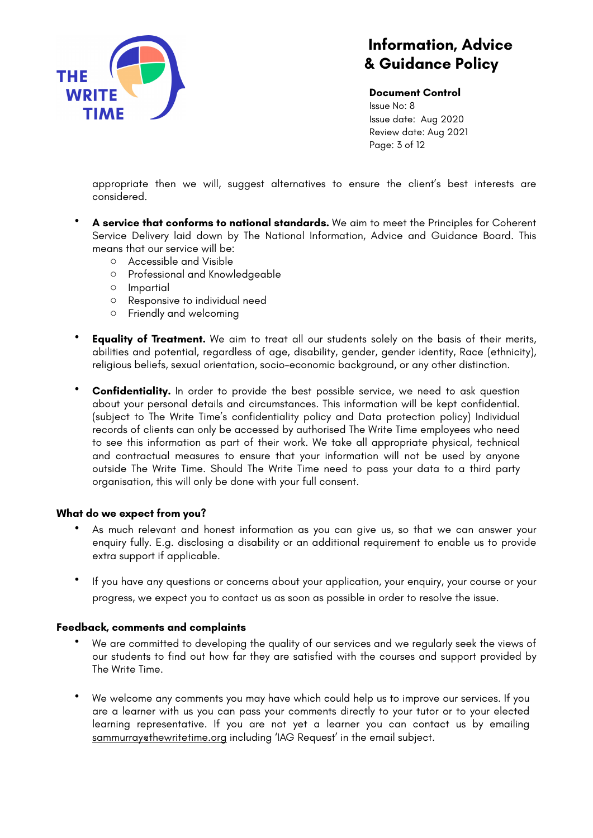

**Document Control** Issue No: 8 Issue date: Aug 2020 Review date: Aug 2021 Page: 3 of 12

appropriate then we will, suggest alternatives to ensure the client's best interests are considered.

- **A service that conforms to national standards.** We aim to meet the Principles for Coherent Service Delivery laid down by The National Information, Advice and Guidance Board. This means that our service will be:
	- o Accessible and Visible
	- o Professional and Knowledgeable
	- o Impartial
	- o Responsive to individual need
	- o Friendly and welcoming
- **Equality of Treatment.** We aim to treat all our students solely on the basis of their merits, abilities and potential, regardless of age, disability, gender, gender identity, Race (ethnicity), religious beliefs, sexual orientation, socio-economic background, or any other distinction.
- **Confidentiality.** In order to provide the best possible service, we need to ask question about your personal details and circumstances. This information will be kept confidential. (subject to The Write Time's confidentiality policy and Data protection policy) Individual records of clients can only be accessed by authorised The Write Time employees who need to see this information as part of their work. We take all appropriate physical, technical and contractual measures to ensure that your information will not be used by anyone outside The Write Time. Should The Write Time need to pass your data to a third party organisation, this will only be done with your full consent.

#### **What do we expect from you?**

- As much relevant and honest information as you can give us, so that we can answer your enquiry fully. E.g. disclosing a disability or an additional requirement to enable us to provide extra support if applicable.
- If you have any questions or concerns about your application, your enquiry, your course or your progress, we expect you to contact us as soon as possible in order to resolve the issue.

#### **Feedback, comments and complaints**

- We are committed to developing the quality of our services and we regularly seek the views of our students to find out how far they are satisfied with the courses and support provided by The Write Time.
- We welcome any comments you may have which could help us to improve our services. If you are a learner with us you can pass your comments directly to your tutor or to your elected learning representative. If you are not yet a learner you can contact us by emailing [sammurray@thewritetime.org](mailto:sammurray@thewritetime.org) including 'IAG Request' in the email subject.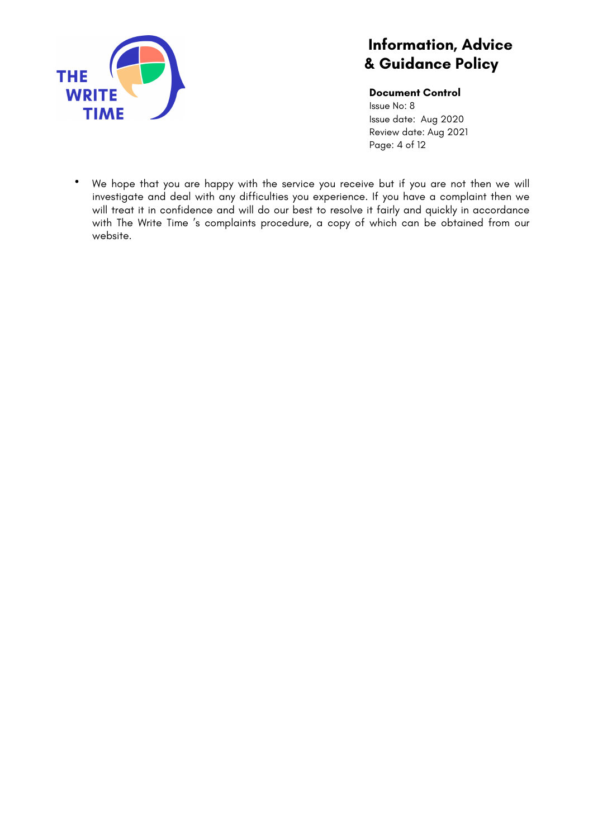

**Document Control**

Issue No: 8 Issue date: Aug 2020 Review date: Aug 2021 Page: 4 of 12

• We hope that you are happy with the service you receive but if you are not then we will investigate and deal with any difficulties you experience. If you have a complaint then we will treat it in confidence and will do our best to resolve it fairly and quickly in accordance with The Write Time 's complaints procedure, a copy of which can be obtained from our website.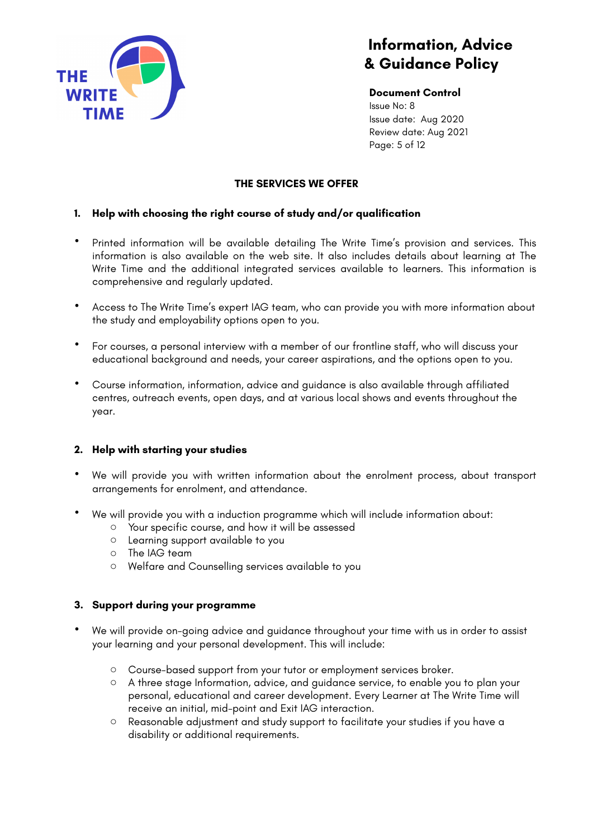

**Document Control** Issue No: 8 Issue date: Aug 2020 Review date: Aug 2021 Page: 5 of 12

## **THE SERVICES WE OFFER**

## **1. Help with choosing the right course of study and/or qualification**

- Printed information will be available detailing The Write Time's provision and services. This information is also available on the web site. It also includes details about learning at The Write Time and the additional integrated services available to learners. This information is comprehensive and regularly updated.
- Access to The Write Time's expert IAG team, who can provide you with more information about the study and employability options open to you.
- For courses, a personal interview with a member of our frontline staff, who will discuss your educational background and needs, your career aspirations, and the options open to you.
- Course information, information, advice and guidance is also available through affiliated centres, outreach events, open days, and at various local shows and events throughout the year.

## **2. Help with starting your studies**

- We will provide you with written information about the enrolment process, about transport arrangements for enrolment, and attendance.
- We will provide you with a induction programme which will include information about:
	- o Your specific course, and how it will be assessed
	- o Learning support available to you
	- o The IAG team
	- o Welfare and Counselling services available to you

## **3. Support during your programme**

- We will provide on-going advice and guidance throughout your time with us in order to assist your learning and your personal development. This will include:
	- o Course-based support from your tutor or employment services broker.
	- o A three stage Information, advice, and guidance service, to enable you to plan your personal, educational and career development. Every Learner at The Write Time will receive an initial, mid-point and Exit IAG interaction.
	- o Reasonable adjustment and study support to facilitate your studies if you have a disability or additional requirements.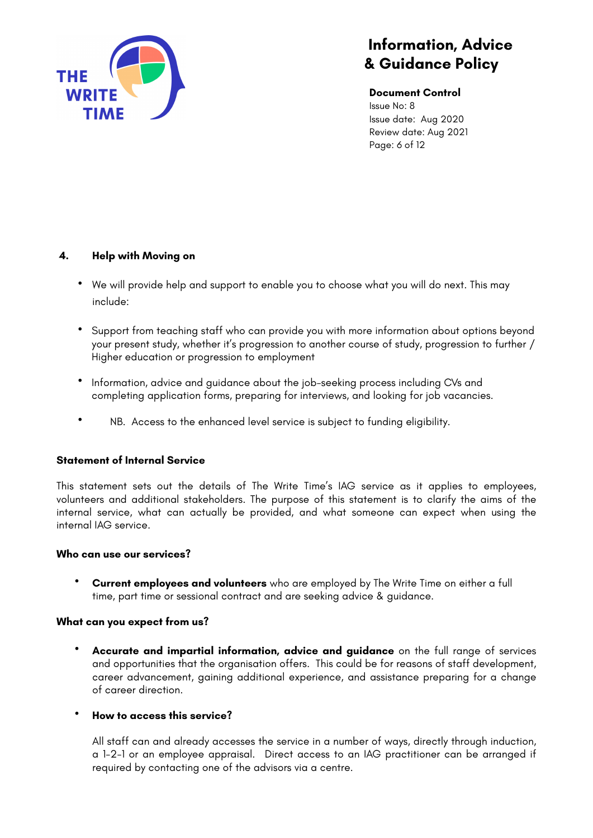

**Document Control**

Issue No: 8 Issue date: Aug 2020 Review date: Aug 2021 Page: 6 of 12

# **4. Help with Moving on**

- We will provide help and support to enable you to choose what you will do next. This may include:
- Support from teaching staff who can provide you with more information about options beyond your present study, whether it's progression to another course of study, progression to further / Higher education or progression to employment
- Information, advice and guidance about the job-seeking process including CVs and completing application forms, preparing for interviews, and looking for job vacancies.
- NB. Access to the enhanced level service is subject to funding eligibility.

## **Statement of Internal Service**

This statement sets out the details of The Write Time's IAG service as it applies to employees, volunteers and additional stakeholders. The purpose of this statement is to clarify the aims of the internal service, what can actually be provided, and what someone can expect when using the internal IAG service.

## **Who can use our services?**

• **Current employees and volunteers** who are employed by The Write Time on either a full time, part time or sessional contract and are seeking advice & guidance.

## **What can you expect from us?**

• **Accurate and impartial information, advice and guidance** on the full range of services and opportunities that the organisation offers. This could be for reasons of staff development, career advancement, gaining additional experience, and assistance preparing for a change of career direction.

## • **How to access this service?**

All staff can and already accesses the service in a number of ways, directly through induction, a 1-2-1 or an employee appraisal. Direct access to an IAG practitioner can be arranged if required by contacting one of the advisors via a centre.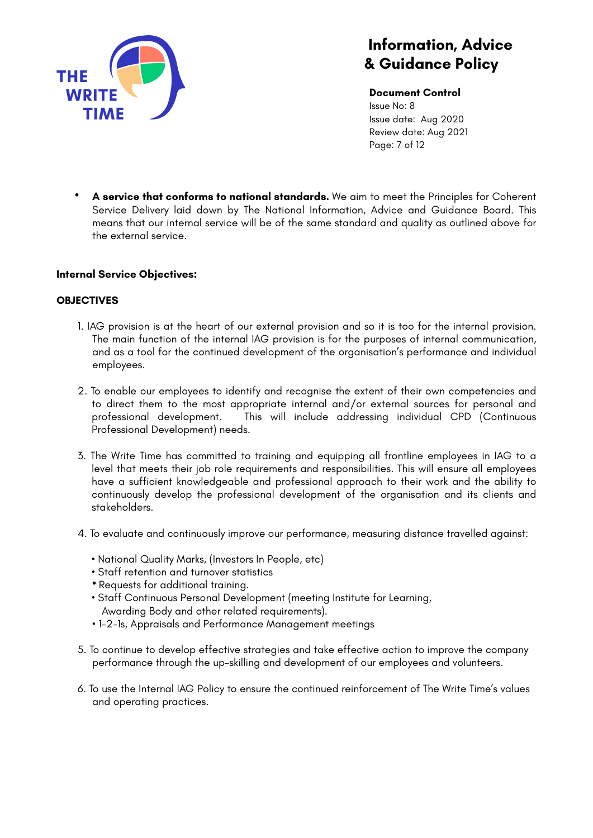

**Document Control** Issue No: 8 Issue date: Aug 2020 Review date: Aug 2021 Page: 7 of 12

• **A service that conforms to national standards.** We aim to meet the Principles for Coherent Service Delivery laid down by The National Information, Advice and Guidance Board. This means that our internal service will be of the same standard and quality as outlined above for the external service.

## **Internal Service Objectives:**

### **OBJECTIVES**

- 1. IAG provision is at the heart of our external provision and so it is too for the internal provision. The main function of the internal IAG provision is for the purposes of internal communication, and as a tool for the continued development of the organisation's performance and individual employees.
- 2. To enable our employees to identify and recognise the extent of their own competencies and to direct them to the most appropriate internal and/or external sources for personal and professional development. This will include addressing individual CPD (Continuous Professional Development) needs.
- 3. The Write Time has committed to training and equipping all frontline employees in IAG to a level that meets their job role requirements and responsibilities. This will ensure all employees have a sufficient knowledgeable and professional approach to their work and the ability to continuously develop the professional development of the organisation and its clients and stakeholders.
- 4. To evaluate and continuously improve our performance, measuring distance travelled against:
	- National Quality Marks, (Investors In People, etc)
	- Staff retention and turnover statistics
	- Requests for additional training.
	- Staff Continuous Personal Development (meeting Institute for Learning, Awarding Body and other related requirements).
	- 1-2-1s, Appraisals and Performance Management meetings
- 5. To continue to develop effective strategies and take effective action to improve the company performance through the up-skilling and development of our employees and volunteers.
- 6. To use the Internal IAG Policy to ensure the continued reinforcement of The Write Time's values and operating practices.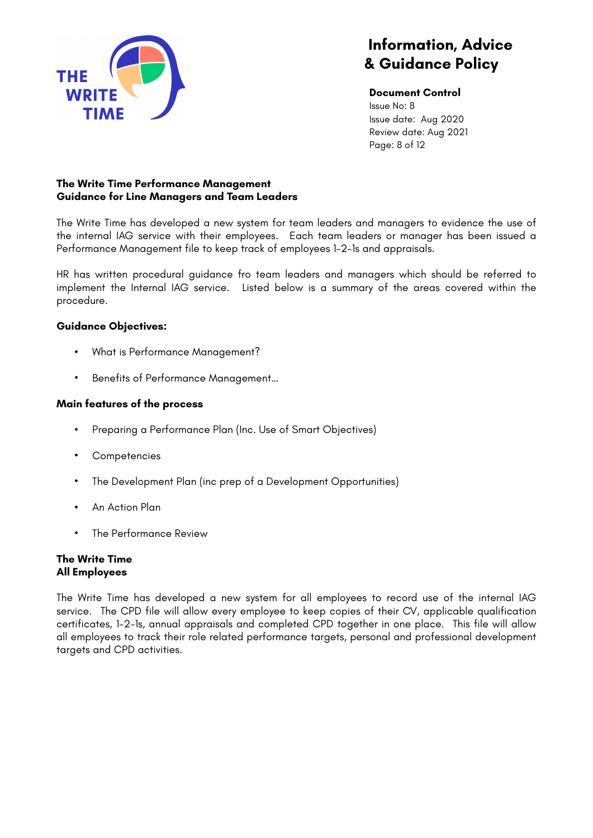

**Document Control** Issue No: 8 Issue date: Aug 2020 Review date: Aug 2021 Page: 8 of 12

## **The Write Time Performance Management Guidance for Line Managers and Team Leaders**

The Write Time has developed a new system for team leaders and managers to evidence the use of the internal IAG service with their employees. Each team leaders or manager has been issued a Performance Management file to keep track of employees 1-2-1s and appraisals.

HR has written procedural guidance fro team leaders and managers which should be referred to implement the Internal IAG service. Listed below is a summary of the areas covered within the procedure.

## **Guidance Objectives:**

- What is Performance Management?
- Benefits of Performance Management…

## **Main features of the process**

- Preparing a Performance Plan (Inc. Use of Smart Objectives)
- **Competencies**
- The Development Plan (inc prep of a Development Opportunities)
- An Action Plan
- The Performance Review

## **The Write Time All Employees**

The Write Time has developed a new system for all employees to record use of the internal IAG service. The CPD file will allow every employee to keep copies of their CV, applicable qualification certificates, 1-2-1s, annual appraisals and completed CPD together in one place. This file will allow all employees to track their role related performance targets, personal and professional development targets and CPD activities.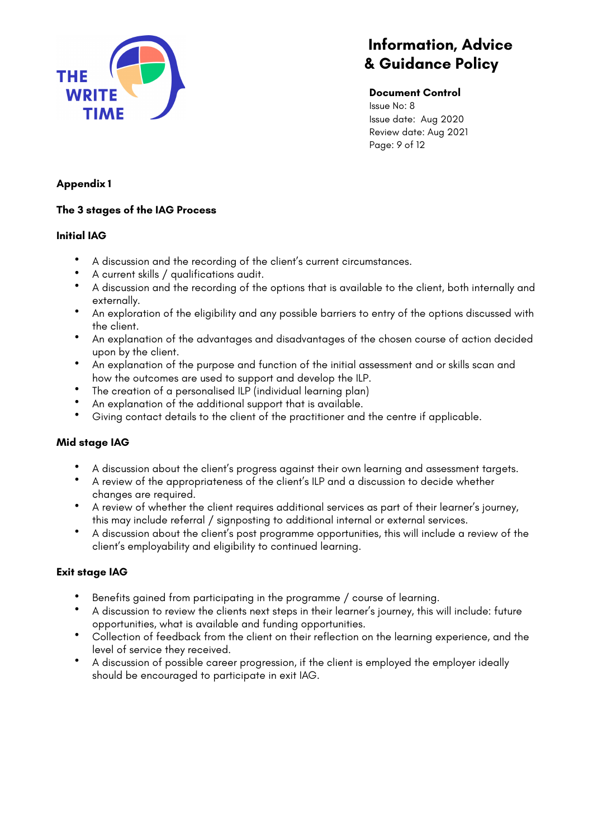

### **Document Control**

Issue No: 8 Issue date: Aug 2020 Review date: Aug 2021 Page: 9 of 12

## **Appendix 1**

## **The 3 stages of the IAG Process**

## **Initial IAG**

- A discussion and the recording of the client's current circumstances.
- A current skills / qualifications audit.
- A discussion and the recording of the options that is available to the client, both internally and externally.
- An exploration of the eligibility and any possible barriers to entry of the options discussed with the client.
- An explanation of the advantages and disadvantages of the chosen course of action decided upon by the client.
- An explanation of the purpose and function of the initial assessment and or skills scan and how the outcomes are used to support and develop the ILP.
- The creation of a personalised ILP (individual learning plan)
- An explanation of the additional support that is available.<br>• Civing contact details to the client of the prostitioner and
- Giving contact details to the client of the practitioner and the centre if applicable.

## **Mid stage IAG**

- A discussion about the client's progress against their own learning and assessment targets.
- A review of the appropriateness of the client's ILP and a discussion to decide whether changes are required.
- A review of whether the client requires additional services as part of their learner's journey, this may include referral / signposting to additional internal or external services.
- A discussion about the client's post programme opportunities, this will include a review of the client's employability and eligibility to continued learning.

## **Exit stage IAG**

- Benefits gained from participating in the programme / course of learning.<br>• A discussion to review the clients next steps in their learner's journey, this v
- A discussion to review the clients next steps in their learner's journey, this will include: future opportunities, what is available and funding opportunities.
- Collection of feedback from the client on their reflection on the learning experience, and the level of service they received.
- A discussion of possible career progression, if the client is employed the employer ideally should be encouraged to participate in exit IAG.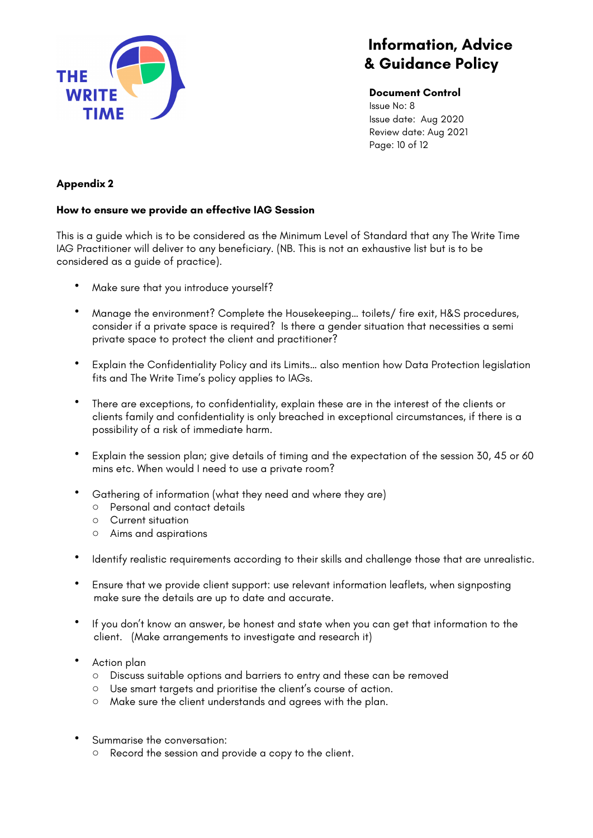

**Document Control** Issue No: 8

Issue date: Aug 2020 Review date: Aug 2021 Page: 10 of 12

# **Appendix 2**

## **How to ensure we provide an effective IAG Session**

This is a guide which is to be considered as the Minimum Level of Standard that any The Write Time IAG Practitioner will deliver to any beneficiary. (NB. This is not an exhaustive list but is to be considered as a guide of practice).

- Make sure that you introduce yourself?
- Manage the environment? Complete the Housekeeping… toilets/ fire exit, H&S procedures, consider if a private space is required? Is there a gender situation that necessities a semi private space to protect the client and practitioner?
- Explain the Confidentiality Policy and its Limits… also mention how Data Protection legislation fits and The Write Time's policy applies to IAGs.
- There are exceptions, to confidentiality, explain these are in the interest of the clients or clients family and confidentiality is only breached in exceptional circumstances, if there is a possibility of a risk of immediate harm.
- Explain the session plan; give details of timing and the expectation of the session 30, 45 or 60 mins etc. When would I need to use a private room?
- Gathering of information (what they need and where they are)
	- o Personal and contact details
	- o Current situation
	- o Aims and aspirations
- Identify realistic requirements according to their skills and challenge those that are unrealistic.
- Ensure that we provide client support: use relevant information leaflets, when signposting make sure the details are up to date and accurate.
- If you don't know an answer, be honest and state when you can get that information to the client. (Make arrangements to investigate and research it)
- Action plan
	- o Discuss suitable options and barriers to entry and these can be removed
	- o Use smart targets and prioritise the client's course of action.
	- o Make sure the client understands and agrees with the plan.
- Summarise the conversation:
	- o Record the session and provide a copy to the client.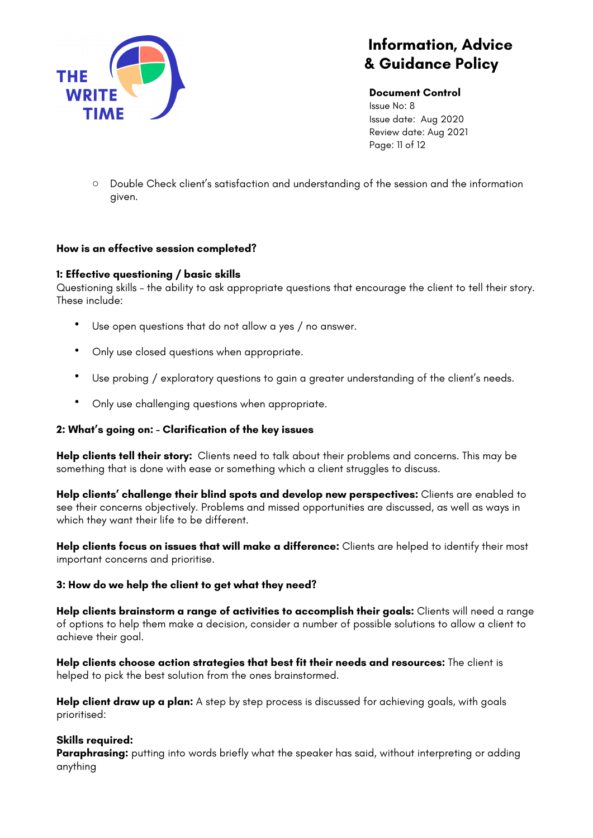

**Document Control** Issue No: 8 Issue date: Aug 2020 Review date: Aug 2021 Page: 11 of 12

o Double Check client's satisfaction and understanding of the session and the information given.

## **How is an effective session completed?**

### **1: Effective questioning / basic skills**

Questioning skills – the ability to ask appropriate questions that encourage the client to tell their story. These include:

- Use open questions that do not allow a yes / no answer.
- Only use closed questions when appropriate.
- Use probing / exploratory questions to gain a greater understanding of the client's needs.
- Only use challenging questions when appropriate.

#### **2: What's going on: - Clarification of the key issues**

**Help clients tell their story:** Clients need to talk about their problems and concerns. This may be something that is done with ease or something which a client struggles to discuss.

**Help clients' challenge their blind spots and develop new perspectives:** Clients are enabled to see their concerns objectively. Problems and missed opportunities are discussed, as well as ways in which they want their life to be different.

**Help clients focus on issues that will make a difference:** Clients are helped to identify their most important concerns and prioritise.

#### **3: How do we help the client to get what they need?**

**Help clients brainstorm a range of activities to accomplish their goals:** Clients will need a range of options to help them make a decision, consider a number of possible solutions to allow a client to achieve their goal.

**Help clients choose action strategies that best fit their needs and resources:** The client is helped to pick the best solution from the ones brainstormed.

Help client draw up a plan: A step by step process is discussed for achieving goals, with goals prioritised:

## **Skills required:**

Paraphrasing: putting into words briefly what the speaker has said, without interpreting or adding anything